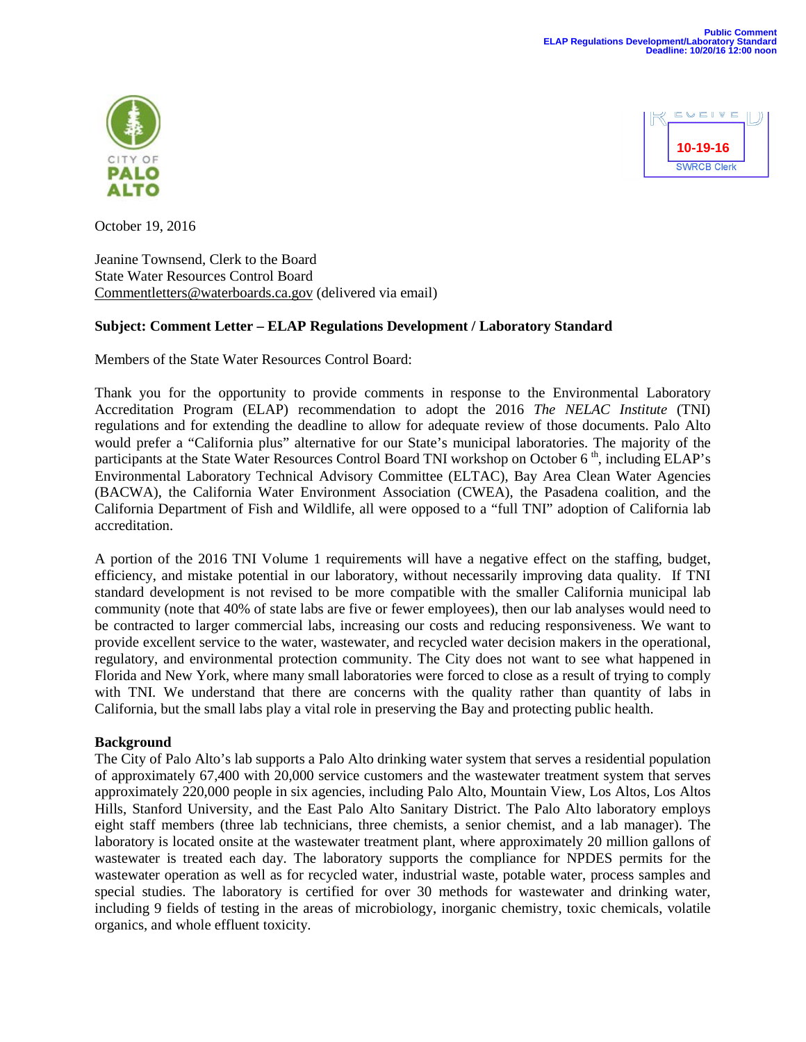



October 19, 2016

Jeanine Townsend, Clerk to the Board State Water Resources Control Board [Commentletters@waterboards.ca.gov](mailto:Commentletters@waterboards.ca.gov) (delivered via email)

# **Subject: Comment Letter – ELAP Regulations Development / Laboratory Standard**

Members of the State Water Resources Control Board:

Thank you for the opportunity to provide comments in response to the Environmental Laboratory Accreditation Program (ELAP) recommendation to adopt the 2016 *The NELAC Institute* (TNI) regulations and for extending the deadline to allow for adequate review of those documents. Palo Alto would prefer a "California plus" alternative for our State's municipal laboratories. The majority of the participants at the State Water Resources Control Board TNI workshop on October 6<sup>th</sup>, including ELAP's Environmental Laboratory Technical Advisory Committee (ELTAC), Bay Area Clean Water Agencies (BACWA), the California Water Environment Association (CWEA), the Pasadena coalition, and the California Department of Fish and Wildlife, all were opposed to a "full TNI" adoption of California lab accreditation.

A portion of the 2016 TNI Volume 1 requirements will have a negative effect on the staffing, budget, efficiency, and mistake potential in our laboratory, without necessarily improving data quality. If TNI standard development is not revised to be more compatible with the smaller California municipal lab community (note that 40% of state labs are five or fewer employees), then our lab analyses would need to be contracted to larger commercial labs, increasing our costs and reducing responsiveness. We want to provide excellent service to the water, wastewater, and recycled water decision makers in the operational, regulatory, and environmental protection community. The City does not want to see what happened in Florida and New York, where many small laboratories were forced to close as a result of trying to comply with TNI. We understand that there are concerns with the quality rather than quantity of labs in California, but the small labs play a vital role in preserving the Bay and protecting public health.

# **Background**

The City of Palo Alto's lab supports a Palo Alto drinking water system that serves a residential population of approximately 67,400 with 20,000 service customers and the wastewater treatment system that serves approximately 220,000 people in six agencies, including Palo Alto, Mountain View, Los Altos, Los Altos Hills, Stanford University, and the East Palo Alto Sanitary District. The Palo Alto laboratory employs eight staff members (three lab technicians, three chemists, a senior chemist, and a lab manager). The laboratory is located onsite at the wastewater treatment plant, where approximately 20 million gallons of wastewater is treated each day. The laboratory supports the compliance for NPDES permits for the wastewater operation as well as for recycled water, industrial waste, potable water, process samples and special studies. The laboratory is certified for over 30 methods for wastewater and drinking water, including 9 fields of testing in the areas of microbiology, inorganic chemistry, toxic chemicals, volatile organics, and whole effluent toxicity.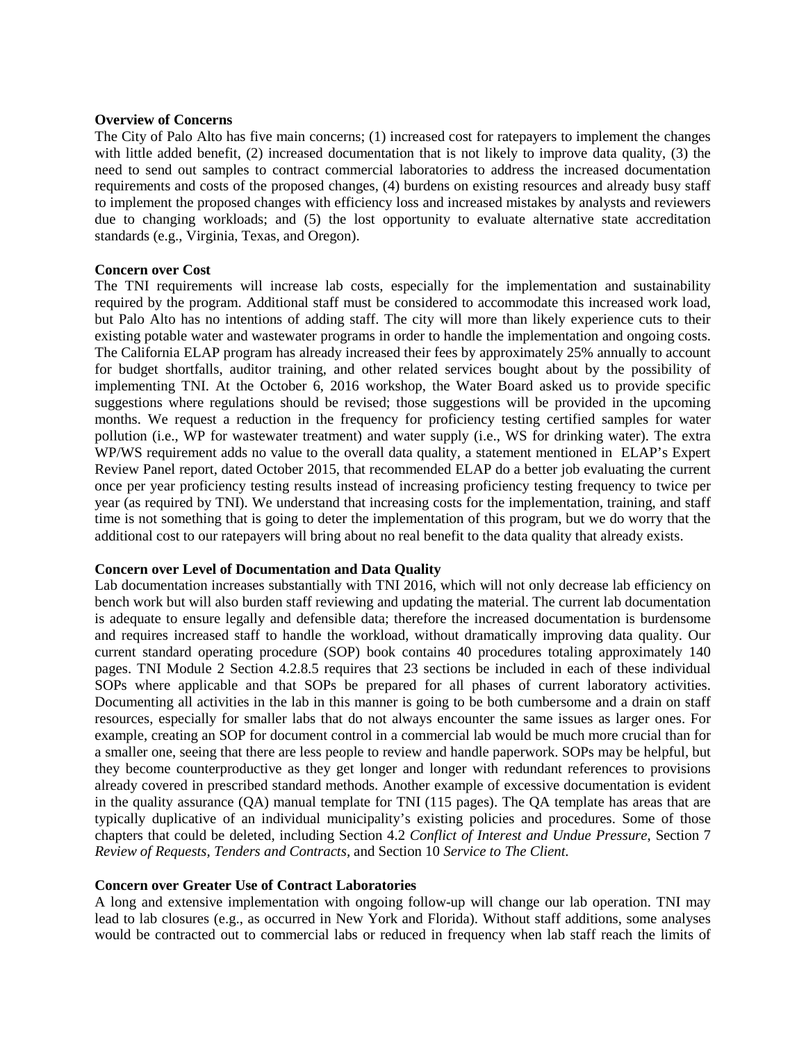### **Overview of Concerns**

The City of Palo Alto has five main concerns; (1) increased cost for ratepayers to implement the changes with little added benefit, (2) increased documentation that is not likely to improve data quality, (3) the need to send out samples to contract commercial laboratories to address the increased documentation requirements and costs of the proposed changes, (4) burdens on existing resources and already busy staff to implement the proposed changes with efficiency loss and increased mistakes by analysts and reviewers due to changing workloads; and (5) the lost opportunity to evaluate alternative state accreditation standards (e.g., Virginia, Texas, and Oregon).

### **Concern over Cost**

The TNI requirements will increase lab costs, especially for the implementation and sustainability required by the program. Additional staff must be considered to accommodate this increased work load, but Palo Alto has no intentions of adding staff. The city will more than likely experience cuts to their existing potable water and wastewater programs in order to handle the implementation and ongoing costs. The California ELAP program has already increased their fees by approximately 25% annually to account for budget shortfalls, auditor training, and other related services bought about by the possibility of implementing TNI. At the October 6, 2016 workshop, the Water Board asked us to provide specific suggestions where regulations should be revised; those suggestions will be provided in the upcoming months. We request a reduction in the frequency for proficiency testing certified samples for water pollution (i.e., WP for wastewater treatment) and water supply (i.e., WS for drinking water). The extra WP/WS requirement adds no value to the overall data quality, a statement mentioned in ELAP's Expert Review Panel report, dated October 2015, that recommended ELAP do a better job evaluating the current once per year proficiency testing results instead of increasing proficiency testing frequency to twice per year (as required by TNI). We understand that increasing costs for the implementation, training, and staff time is not something that is going to deter the implementation of this program, but we do worry that the additional cost to our ratepayers will bring about no real benefit to the data quality that already exists.

### **Concern over Level of Documentation and Data Quality**

Lab documentation increases substantially with TNI 2016, which will not only decrease lab efficiency on bench work but will also burden staff reviewing and updating the material. The current lab documentation is adequate to ensure legally and defensible data; therefore the increased documentation is burdensome and requires increased staff to handle the workload, without dramatically improving data quality. Our current standard operating procedure (SOP) book contains 40 procedures totaling approximately 140 pages. TNI Module 2 Section 4.2.8.5 requires that 23 sections be included in each of these individual SOPs where applicable and that SOPs be prepared for all phases of current laboratory activities. Documenting all activities in the lab in this manner is going to be both cumbersome and a drain on staff resources, especially for smaller labs that do not always encounter the same issues as larger ones. For example, creating an SOP for document control in a commercial lab would be much more crucial than for a smaller one, seeing that there are less people to review and handle paperwork. SOPs may be helpful, but they become counterproductive as they get longer and longer with redundant references to provisions already covered in prescribed standard methods. Another example of excessive documentation is evident in the quality assurance (QA) manual template for TNI (115 pages). The QA template has areas that are typically duplicative of an individual municipality's existing policies and procedures. Some of those chapters that could be deleted, including Section 4.2 *Conflict of Interest and Undue Pressure*, Section 7 *Review of Requests, Tenders and Contracts,* and Section 10 *Service to The Client.*

### **Concern over Greater Use of Contract Laboratories**

A long and extensive implementation with ongoing follow-up will change our lab operation. TNI may lead to lab closures (e.g., as occurred in New York and Florida). Without staff additions, some analyses would be contracted out to commercial labs or reduced in frequency when lab staff reach the limits of